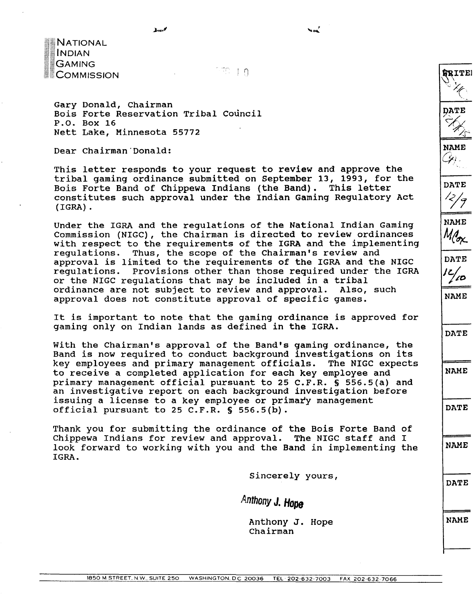**NATIONAL COMMISSION**<br>
COMMISSION<br>
COMMISSION

Gary Donald, Chairman Bois Forte Reservation Tribal Council P.O. Box 16 Nett Lake, Minnesota 55772

Dear Chairman'Donald:

This letter responds to your request to review and approve the tribal gaming ordinance submitted on September 13, 1993, for the Bois Forte Band of Chippewa Indians (the Band). This letter constitutes such approval under the Indian Gaming Regulatory Act (IGRA) .

Under the IGRA and the regulations of the National Indian Gaming Commission (NIGC), the Chairman is directed to review ordinances with respect to the requirements of the IGRA and the implementing regulations. Thus, the scope of the Chairman's review and approval is limited to the requirements of the IGRA and the NIGC regulations. Provisions other than those required under the IGRA or the NIGC regulations that may be included in a tribal<br>ordinance are not subject to review and approval. Also, such ordinance are not subject to review and approval. approval does not constitute approval of specific games.

It is important to note that the gaming ordinance is approved for gaming only on Indian lands as defined in the IGRA.

With the Chairman's approval of the Band's gaming ordinance, the Band is now required to conduct background investigations on its key employees and primary management officials. The NIGC expects to receive a completed application for each key employee and primary management official pursuant to 25 C.F.R. **S** 556.5(a) and an investigative report on each background investigation before issuing a license to a key employee or primary management official pursuant to 25 C.F.R. **S** 556.5(b).

Thank you for submitting the ordinance of the Bois Forte Band of Chippewa Indians for review and approval. The NIGC staff and I look forward to working with you and the Band in implementing the IGRA.

Sincerely yours,

*Antbony* **J. Hope** 

Anthony **J.** Hope Chairman

**NAME**   $\mathscr{L}_k$  .

**MRITE!** 

<sup>1</sup>**DATE** 

**NAME** 

<sup>1</sup>**DATE** 

**DATE** 

**NAME** 

**DATE** 

**NAME**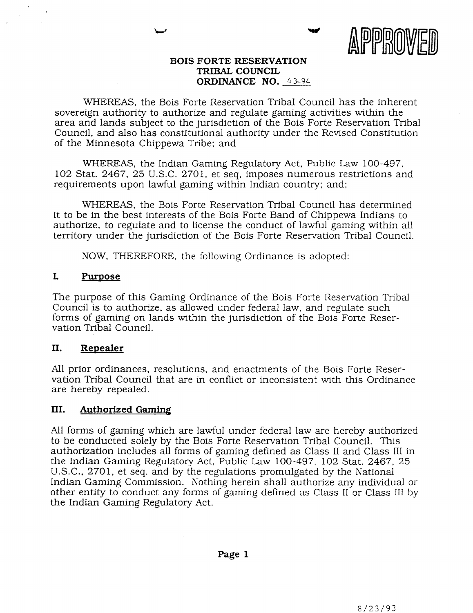

#### **BOIS FORTE RESERVATION TRIBAL COUNCIL ORDINANCE NO.** *4 3-94*

WHEREAS, the Bois Forte Reservation Tribal Council has the inherent sovereign authority to authorize and regulate gaming activities within the area and lands subject to the jurisdiction of the Bois Forte Reservation Tribal Council, and also has constitutional authority under the Revised Constitution of the Minnesota Chippewa Tribe: and

WHEREAS, the Indian Gaming Regulatory Act, Public Law 100-497, 102 Stat. 2467, 25 U.S.C. 2701, et seq, imposes numerous restrictions and requirements upon lawful gaming within Indian country; and:

WHEREAS, the Bois Forte Reservation Tribal Council has determined it to be in the best interests of the Bois Forte Band of Chippewa Indians to authorize, to regulate and to license the conduct of lawful gaming within all territory under the jurisdiction of the Bois Forte Reservation Tribal Council.

NOW, THEREFORE, the following Ordinance is adopted:

#### **L Purpose**

The purpose of this Gaming Ordinance of the Bois Forte Reservation Tribal Council is to authorize, as allowed under federal law, and regulate such forms of gaming on lands within the jurisdiction of the Bois Forte Reservation Tribal Council.

#### **11. Repealer**

All prior ordinances, resolutions, and enactments of the Bois Forte Reservation Tribal Council that are in conflict or inconsistent with this Ordinance are hereby repealed.

#### **III. Authorized** Gaming

All forms of gaming which are lawful under federal law are hereby authorized to be conducted solely by the Bois Forte Reservation Tribal Council. This authorization includes ail forms of gaming defined as Class I1 and Class I11 in the Indian Gaming Regulatory Act, Public Law 100-497, 102 Stat. 2467, 25 U.S.C., 2701, et seq. and by the regulations promulgated by the National Indian Gaming Commission. Nothing herein shall authorize any individual or other entity to conduct any forms of gaming defined as Class I1 or Class I11 by the Indian Gaming Regulatory Act.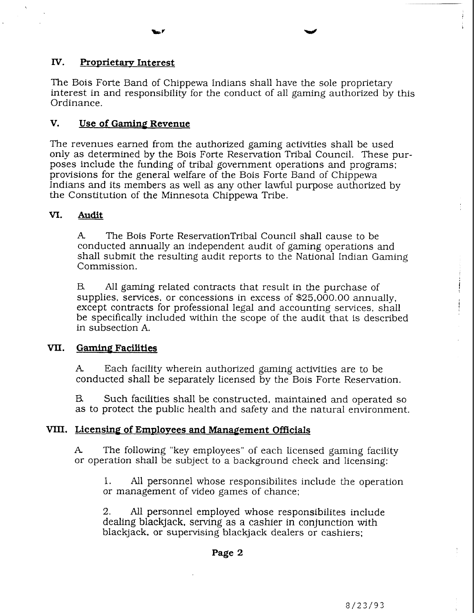### **IV.** Proprietary Interest

The Bois Forte Band of Chippewa Indians shall have the sole proprietary interest in and responsibility for the conduct of all gaming authorized by this Ordinance.

#### **V. Use of Gaming Revenue**

The revenues earned from the authorized gaming activities shall be used only as determined by the Bois Forte Reservation Tribal Council. These purposes include the funding of tribal government operations and programs; provisions for the general welfare of the Bois Forte Band of Chippewa Indians **and** its members as well as any other lawful purpose authorized by the Constitution of the Minnesota Chippewa Tribe.

#### VI. **Audit**

**A** The Bois Forte ReservationTribal Council shall cause to be conducted annually an independent audit of gaming operations and shall submit the resulting audit reports to the National Indian Gaming Commission.

B. All gaming related contracts that result in the purchase of supplies, services, or concessions in excess of \$25,000.00 annually, except contracts for professional legal and accounting services, shall be specifically included within the scope of the audit that is described in subsection **A.** 

#### **VII.** Gaming Facilities

**A** Each facility wherein authorized gaming activities are to be conducted shall be separately licensed by the Bois Forte Reservation.

B Such facilities shall be constructed, maintained and operated so as to protect the public health and safety and the natural environment.

## **VIII.** Licensing of Employees and Management Officials

**A.** The following "key employees" of each licensed gaming facility or operation shall be subject to a background check and licensing:

1. All personnel whose responsibilites include the operation or management of video games of chance;

2. All personnel employed whose responsibilites include dealing blackjack, serving as a cashier in conjunction with blackjack, or supervising blackjack dealers or cashiers;

 $\frac{1}{2}$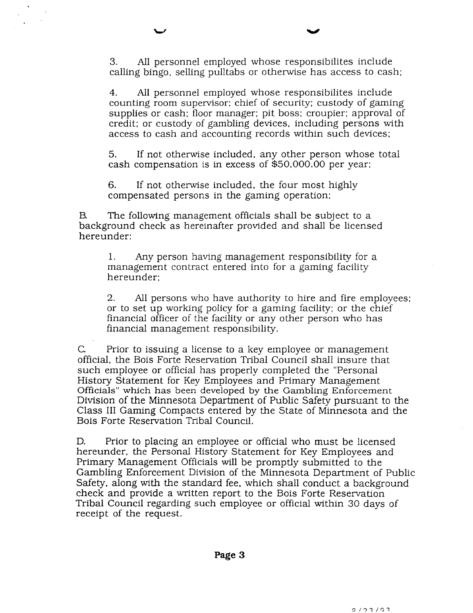**3.** All personnel employed whose responsibilites include calling bingo, selling pulltabs or otherwise has access to cash;

**4.** All personnel employed whose responsibilites include counting room supervisor; chief of security; custody of gaming supplies or cash; floor manager; pit boss; croupier; approval of credit; or custody of gambling devices, including persons with access to cash and accounting records within such devices;

5. If not otherwise included, any other person whose total cash compensation is in excess of \$50,000.00 per year;

6. If not otherwise included, the four most highly compensated persons in the gaming operation;

B The following management officials shall be subject to a background check as hereinafter provided and shall be licensed hereunder:

1. Any person having management responsibility for a management contract entered into for a gaming facility hereunder;

2. All persons who have authority to hire and fire employees; or to set up working policy for a gaming facility; or the chief financial officer of the facility or any other person who has financial management responsibility.

C. Prior to issuing a license to a key employee or management official, the Bois Forte Reservation Tribal Council shall insure that such employee or official has properly completed the "Personal History Statement for Key Employees and Primary Management Officials" which has been developed by the Gambling Enforcement Division of the Minnesota Department of Public Safety pursuant to the Class I11 Gaming Compacts entered by the State of Minnesota and the Bois Forte Reservation Tribal Council.

D. Prior to placing an employee or official who must be licensed hereunder, the Personal History Statement for Key Employees and Primary Management Officials will be promptly submitted to the Gambling Enforcement Division of the Minnesota Department of Public Safety, along with the standard fee, which shall conduct a background check and provide a written report to the Bois Forte Reservation Tribal Council regarding such employee or official within 30 days of receipt of the request.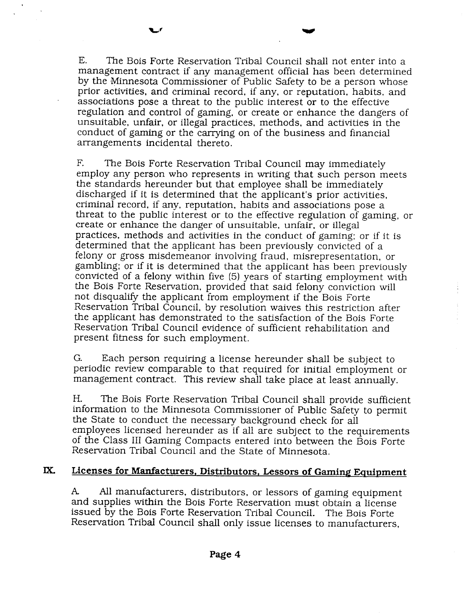E. The Bois Forte Reservation Tribal Council shall not enter into a management contract if any management official has been determined by the Minnesota Commissioner of Public Safety to be a person whose prior activities, and criminal record, if any, or reputation, habits, and associations pose a threat to the public interest or to the effective regulation and control of gaming, or create or enhance the dangers of unsuitable, unfair, or illegal practices, methods, and activities in the

conduct of gaming or the carrying on of the business and financial

arrangements incidental thereto.

F. The Bois Forte Reservation Tribal Council may immediately employ any person who represents in writing that such person meets the standards hereunder but that employee shall be immediately discharged if it is determined that the applicant's prior activities, criminal record, if any, reputation, habits and associations pose a threat to the public interest or to the effective regulation of gaming, or create or enhance the danger of unsuitable, unfair. or illegal practices, methods and activities in the conduct of gaming: or if it is determined that the applicant has been previously convicted of a felony or gross misdemeanor involving fraud, misrepresentation, or gambling; or if it is determined that the applicant has been previously convicted of a felony within five (5) years of starting employment with the Bois Forte Reservation, provided that said felony conviction will not disqualify the applicant from employment if the Bois Forte Reservation Tribal Council, by resolution waives this restriction after the applicant has demonstrated to the satisfaction of the Bois Forte Reservation Tribal Council evidence of sufficient rehabilitation and present fitness for such employment.

*G.* Each person requiring a license hereunder shall be subject to periodic review comparable to that required for initial employment or management contract. This review shall take place at least annually.

H. The Bois Forte Reservation Tribal Council shall provide sufficient information to the Minnesota Commissioner of Public Safety to permit the State to conduct the necessary background check for all employees licensed hereunder as if all are subject to the requirements of the Class I11 Gaming Compacts entered into between the Bois Forte Reservation Tribal Council and the State of Minnesota.

# **MI Licenses for Manfacturers, Distributors, Lessors of Gaming Equipment**

**A** All manufacturers, distributors, or lessors of gaming equipment and supplies within the Bois Forte Reservation must obtain a license issued by the Bois Forte Reservation Tribal Council. The Bois Forte Reservation Tribal Council shall only issue licenses to manufacturers,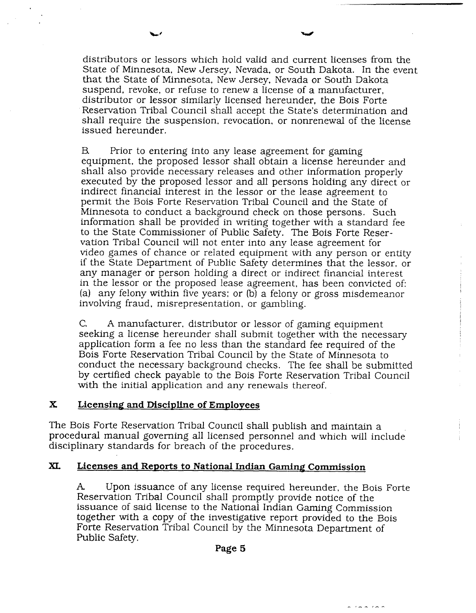distributors or lessors which hold valid and current licenses from the State of Minnesota, New Jersey, Nevada. or South Dakota. In the event that the State of Minnesota, New Jersey. Nevada or South Dakota suspend, revoke, or refuse to renew a license of a manufacturer, distributor or lessor similarly licensed hereunder, the Bois Forte Reservation Tribal Council shall accept the State's determination and shall require the suspension, revocation, or nonrenewal of the license issued hereunder.

B. Prior to entering into any lease agreement for gaming equipment, the proposed lessor shall obtain a license hereunder and shall also provide necessary releases and other information properly executed by the proposed lessor and all persons holding any direct or indirect financial interest in the lessor or the lease agreement to permit the Bois Forte Reservation Tribal Council and the State of Minnesota to conduct a background check on those persons. Such information shall be provided in writing together with a standard fee to the State Commissioner of Public Safety. The Bois Forte Reservation Tribal Council will not enter into any lease agreement for video games of chance or related equipment with any person or entity if the State Department of Public Safety determines that the lessor, or any manager or person holding a direct or indirect financial interest in the lessor or the proposed lease agreement, has been convicted of: (a) any felony within five years; or (b) a felony or gross misdemeanor involving fraud, misrepresentation, or gambling.

C. A manufacturer, distributor or lessor of gaming equipment seeking a license hereunder shall submit together with the necessary application form a fee no less than the standard fee required of the Bois Forte Reservation Tribal Council by the State of Minnesota to conduct the necessary background checks. The fee shall be submitted by certified check payable to the Bois Forte Reservation Tribal Council with the initial application and any renewals thereof.

#### **X Licensing and Discipline of Employees**

The Bois Forte Reservation Tribal Council shall publish and maintain a procedural manual governing all licensed personnel and which will include disciplinary standards for breach of the procedures.

#### **XL Licenses and Reports to National Indian Gaming Commission**

**A** Upon issuance of any license required hereunder, the Bois Forte Reservation Tribal Council shall promptly provide notice of the issuance of said license to the National Indian Gaming Commission together with a copy of the investigative report provided to the Bois Forte Reservation Tribal Council by the Minnesota Department of Public Safety.

 $\sim$   $($   $\sim$   $)$   $\sim$   $\sim$ 

**Page 5**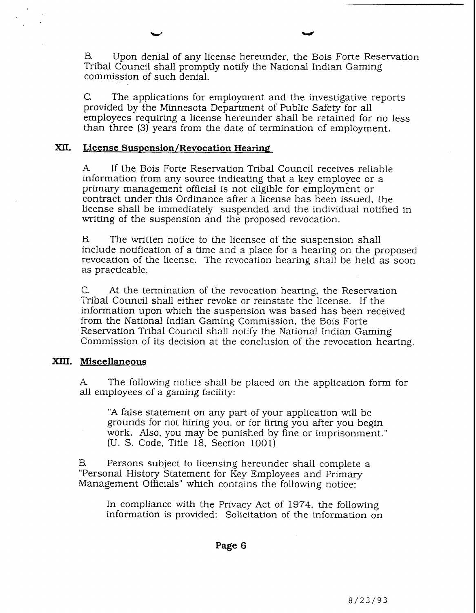B Upon denial of any license hereunder, the Bois Forte Reservation Tribal Council shall promptly notify the National Indian Gaming commission of such denial.

C. The applications for employment and the investigative reports provided by the Minnesota Department of Public Safety for all employees requiring a license hereunder shall be retained for no less than three (3) years from the date of termination of employment.

#### **XII.** License Suspension/Revocation Hearing

**A** If the Bois Forte Reservation Tribal Council receives reliable information from any source indicating that a key employee or a primary management official is not eligible for employment or contract under this Ordinance after a license has been issued, the license shall be immediately suspended and the individual notified in writing of the suspension and the proposed revocation.

B The written notice to the licensee of the suspension shall include notification of a time and a place for a hearing on the proposed revocation of the license. The revocation hearing shall be held as soon as practicable.

C. At the termination of the revocation hearing, the Reservation Tribal Council shall either revoke or reinstate the license. If the information upon which the suspension was based has been received from the National Indian Gaming Commission, the Bois Forte Reservation Tribal Council shall notify the National Indian Gaming Commission of its decision at the conclusion of the revocation hearing.

#### *XIII.* **Miscellaneous**

**A** The following notice shall be placed on the application form for all employees of a gaming facility:

**"A** false statement on any part of your application will be grounds for not hiring you, or for firing you after you begin work. Also, you may be punished by fine or imprisonment." (U. S. Code, Title 18, Section 1001)

B Persons subject to licensing hereunder shall complete a "Personal History Statement for Key Employees and Primary Management Officials" which contains the following notice:

In compliance with the Privacy Act of 1974, the following information is provided: Solicitation of the information on

**Page 6**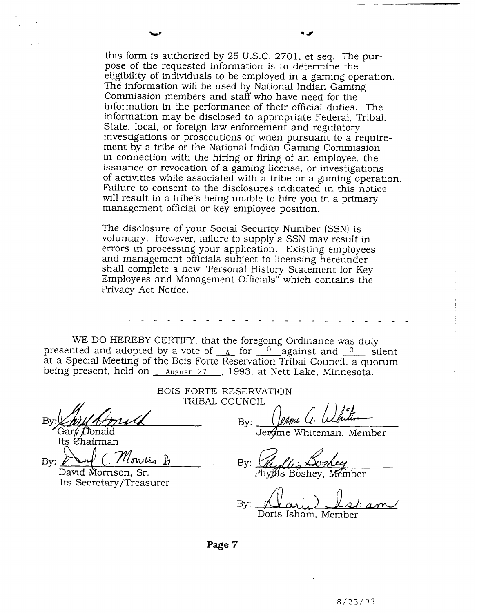this form is authorized by 25 U.S.C. 2701, et seq. The purpose of the requested information is to determine the eligibility of individuals to be employed in a gaming operation. The information will be used by National Indian Gaming Commission members and staff who have need for the information in the performance of their official duties. The information may be disclosed to appropriate Federal, Tribal, State, local, or foreign law enforcement and regulatory investigations or prosecutions or when pursuant to a requirement by a tribe or the National Indian Gaming Commission in connection with the hiring or firing of an employee, the issuance or revocation of a gaming license, or investigations of activities while associated with a tribe or a gaming operation. Failure to consent to the disclosures indicated in this notice will result in a tribe's being unable to hire you in a primary management official or key employee position.

The disclosure of your Social Security Number (SSN) is voluntary. However, failure to supply a SSN may result in errors in processing your application. Existing employees and management officials subject to licensing hereunder shall complete a new "Personal History Statement for Key Employees and Management Officials" which contains the Privacy Act Notice.

WE DO HEREBY CERTIFY, that the foregoing Ordinance was duly presented and adopted by a vote of  $\frac{4}{4}$  for  $\frac{0}{4}$  against and  $\frac{0}{4}$  silent at a Special Meeting of the Bois Forte Reservation Tribal Council, a quorum being present, held on *August 27* , 1993, at Nett Lake, Minnesota.

Gary Donald

rts enarman<br>By: <u>And C. Monsier &</u> David Morrison, Sr.

Its Secretary/Treasurer

BOIS FORTE RESERVATION TRIBAL COUNCIL

Bv:

Whiteman. Member

Bv: Phylls Boshev. Member

By: **<sup>I</sup>** <u>am</u> Doris Isharn, Member

**Page 7**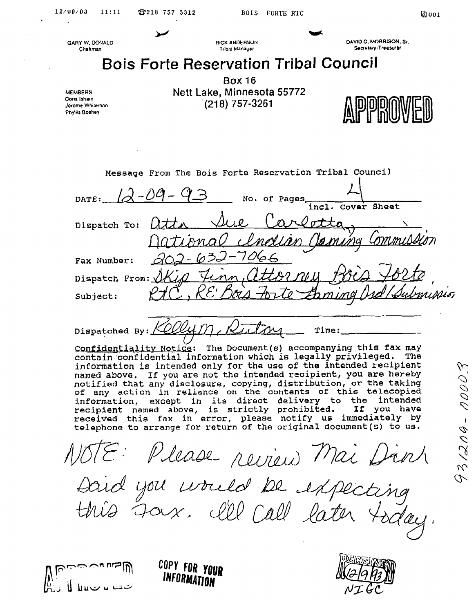$3/204 - 00003$ 

**GARY W. DONALD** Chairman



DAVID C. MORRISON, Sr. Secrutary-Treasurac

# **Bois Forte Reservation Tribal Council**

**MEMBERS** Doris Isham Jorome Whiteman Phyllis Boshey

**Box 16** Nett Lake, Minnesota 55772  $(218)$  757-3261

| Message From The Bois Forte Reservation Tribal Council                         |
|--------------------------------------------------------------------------------|
| 12-09-93<br>DATE:<br>No. of Pages                                              |
| Cover Sheet<br>inc1.                                                           |
| Dispatch To:                                                                   |
| atta Sue Carlotta,<br>Mational <i>Indian Canung Commussion</i><br>202-632-7066 |
| Fax Number:                                                                    |
| Dispatch From: Skip Finn, attorney                                             |
| <u>Finn, attorney Bris 182to</u><br>Subject:                                   |
|                                                                                |

Time:

Dispatched By: Confidentiality Notice: The Document(s) accompanying this fax may contain confidential information which is legally privileged. The information is intended only for the use of the intended recipient named above. If you are not the intended recipient, you are hareby notified that any disclosure, copying, distribution, or the taking of any action in reliance on the contents of this telecopied information, except in its direct delivery to the intended recipient named above, is strictly prohibited. If you have<br>received this fax in error, please notify us immediately by telephone to arrange for return of the original document (s) to us.

1078: Please review Mai Dink<br>Daid you would be expecting Joux. Ill Call late





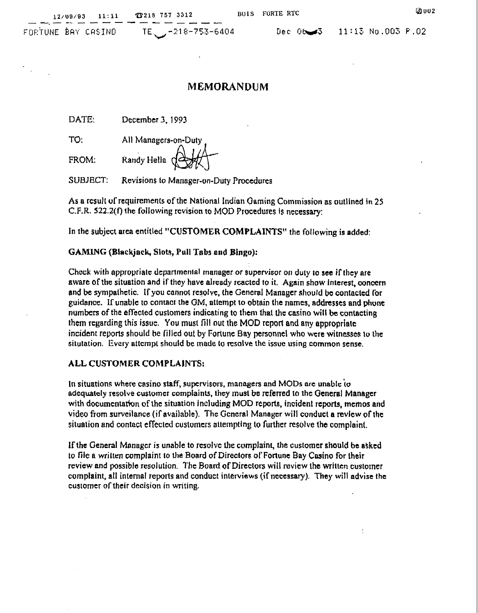-<br>-- --<br>-- --

FUF:TUNE **~RY CUSINO TE,\*** -21 8-753-6404 Deo **0-5 11:13** No.003 f.02

t

# **MEMORANDUM**

**DATE:** December **3, 1** *993* 

**TO:** All Managers-on-Duty

**FROM: Kandy Hella** 

**SUBJECT: Revisions to Manager-on-Duty** Procedures

**As a result of rcquiremenk of the National Indian Oaming Commissiorl as outllned In 25 C.F.R. 522.2(f) the following rcvision to MOD Procedures Is necessary:** 

**In the subject area entitled "CUSTOMER COMPLAINTS" the following is added:** 

#### **GAMLNG (Blackjack, Slot9, Pull Tabs and Bingo):**

**Chock with appropriate dcpanmenlal manager or supervisor or) duty lo see if they are aware of the situation and if they have already reacted to it. Again show interest, wncem**  and be sympathetic. If you cannot resolve, the General Manager should be contacted for **guidance. If unable to contact the OM, attempt to obtain the names, addresses and phunt numbers of the effected customers indicating to them that the casino will be contacting them regarding this issue. You must fill out the MOD report and any appropriate incident reports should be filled out by Fortune Bay personnel who wcre witnesses to the situtation. Evcry attcmpt should be made to msolve thc issue using comlnon sense.** 

#### **ALL CUSTOMER COMPLAINTS:**

**In situations where casino staff, supervisors, managers and Mobs arc unable io adequately resolve customer complaints, they must be rcferred to the General Manager with documentatfon of** thc **situation jncluding MOD reports, incident reports, memos and**  *video from surveilance (if available). The General Manager will conduct a review of the* **situation and contact** effecled **custumcrs nltempting to further resolve tho** complaint.

**If the Genenl Monogcr is unable to resolve** the **complaint, the customer should be a4kcd lo file a written complaint to the Board of Directors of Fortune Bay Casino for their review and possible resolution. The Board of Directors will review the written customer** complaint, all internal reports and conduct interviews (if necessary). They will advise the **customer of their decision in writing.**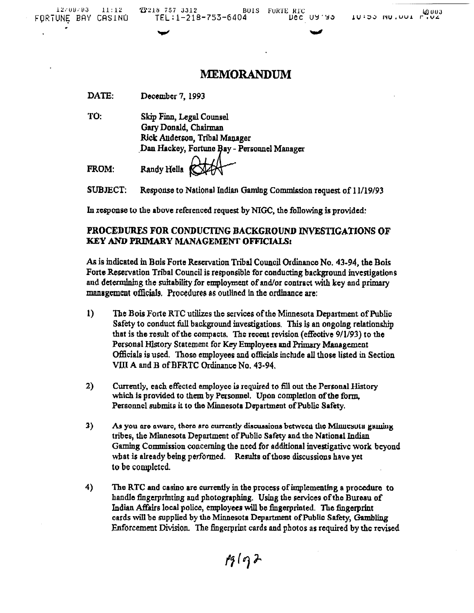# **MEMORANDUM**

| <b>DATE:</b> | December 7, 1993 |  |
|--------------|------------------|--|
|              |                  |  |

TÓ: Skip Finn, Legal Counsel Gary Donald, Chairman Rick Anderson, Tribal Manager Dan Hackey, Fortune Bay - Personnel Manager

FROM: Randy Hella

**SUBJECT:** Response to National Indian Gaming Commission request of 11/19/93

In response to the above referenced request by NIGC, the following is provided:

### PROCEDURES FOR CONDUCTING BACKGROUND INVESTIGATIONS OF KEY AND PRIMARY MANAGEMENT OFFICIALS:

As is indicated in Bois Forte Reservation Tribal Council Ordinance No. 43-94, the Bois Forte Reservation Tribal Council is responsible for conducting background investigations and determining the suitability for employment of and/or contract with key and primary management officials. Procedures as outlined in the ordinance are:

- $\mathbf{I}$ The Bois Forte RTC utilizes the services of the Minnesota Department of Public Safety to conduct full background investigations. This is an ongoing relationship that is the result of the compacts. The recent revision (effective 9/1/93) to the Personal History Statement for Key Employees and Primary Management Officials is used. Those employees and officials include all those listed in Section VIII A and B of BFRTC Ordinance No. 43-94.
- $2)$ Currently, each effected employee is required to fill out the Personal History which is provided to them by Personnel. Upon completion of the form, Personnel submits it to the Minnesota Department of Public Safety.
- $3)$ As you are aware, there are currently discussions between the Minnesota gaming tribes, the Minnesota Department of Public Safety and the National Indian Gaming Commission concerning the need for additional investigative work beyond what is already being performed. Results of those discussions have yet to be completed.
- 4) The RTC and casino are currently in the process of implementing a procedure to handle fingerprinting and photographing. Using the services of the Bureau of Indian Affairs local police, employees will be fingerprinted. The fingerprint cards will be supplied by the Minnesota Department of Public Safety, Gambling Enforcement Division. The fingerprint cards and photos as required by the revised

 $pg(q)$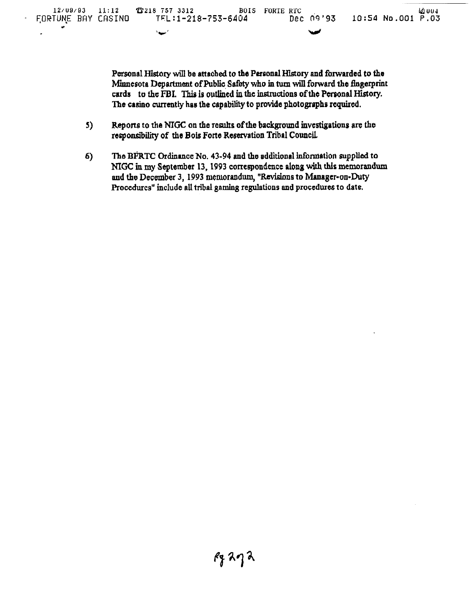Personal History will be attached to the Personal History and forwarded to the Minnesota Department of Public Safety who in turn will forward the fingerprint cards to the FBI. This is outlined in the instructions of the Personal History. The casino currently has the capability to provide photographs required.

- $5)$ Reports to the NIGC on the results of the background investigations are the responsibility of the Bois Forte Reservation Tribal Council.
- $6)$ The BFRTC Ordinance No. 43-94 and the additional information supplied to NIGC in my September 13, 1993 correspondence along with this memorandum and the December 3, 1993 memorandum, "Revisions to Manager-on-Duty Procedures" include all tribal gaming regulations and procedures to date.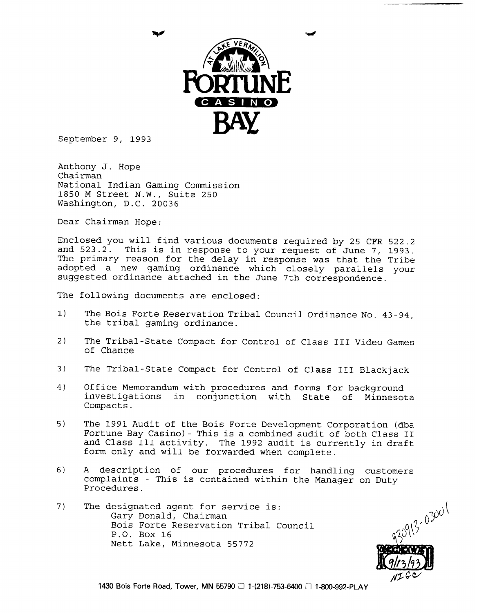

September 9, 1993

Anthony J. Hope Chairman National Indian Gaming Commission 1850 M Street **N.W.,** Suite 250 Washington, D.C. 20036

Dear Chairman Hope:

Enclosed you will find various documents required by 25 CFR 522.2 and 523.2. This is in response to your request of June 7, **1993.**  The primary reason for the delay in response was that the Tribe adopted a new gaming ordinance which closely parallels your suggested ordinance attached in the June 7th correspondence.

The following documents are enclosed:

- **1)** The Bois Forte Reservation Tribal Council Ordinance No. 43-94, the tribal gaming ordinance.
- 2) The Tribal-State Compact for Control of Class I11 Video Games of Chance
- **3)** The Tribal-State Compact for Control of Class **I11** Blackjack
- 4) Office Memorandum with procedures and forms for background investigations in conjunction with State of Minnesota Compacts.
- 5) The 1991 Audit of the Bois Forte Development Corporation (dba Fortune Bay Casino) - This is a combined audit of both Class I1 and Class I11 activity. The 1992 audit is currently in draft form only and will be forwarded when complete.
- 6) A description of our procedures for handling customers complaints - This is contained within the Manager on Duty Procedures.
- 7) The designated agent for service is: Gary Donald, Chairman Bois Forte Reservation Tribal Council P.O. Box 16 Nett Lake, Minnesota 55772

9(3-03001  $\sqrt{160}$